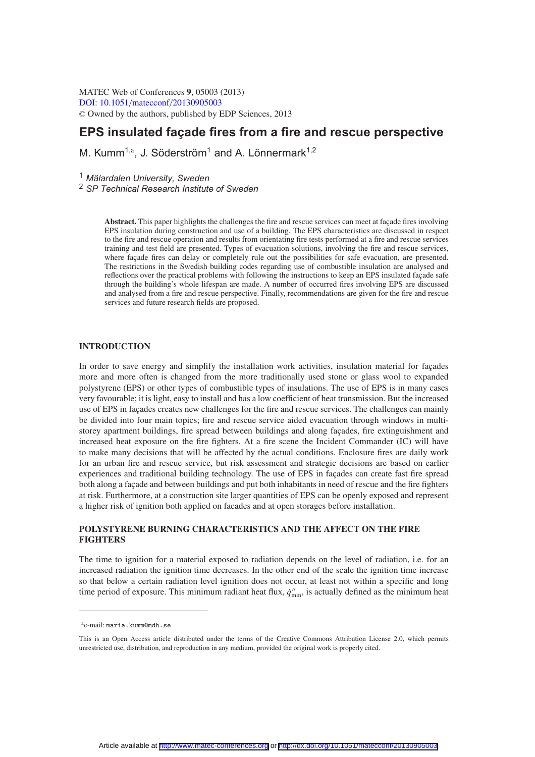MATEC Web of Conferences **9**, 05003 (2013) [DOI: 10.1051](http://dx.doi.org/10.1051/matecconf/20130905003)/matecconf/20130905003 <sup>C</sup> Owned by the authors, published by EDP Sciences, 2013

# **EPS insulated façade fires from a fire and rescue perspective**

M. Kumm<sup>1,a</sup>, J. Söderström<sup>1</sup> and A. Lönnermark<sup>1,2</sup>

<sup>1</sup> *Mälardalen University, Sweden*

<sup>2</sup> *SP Technical Research Institute of Sweden*

**Abstract.** This paper highlights the challenges the fire and rescue services can meet at façade fires involving EPS insulation during construction and use of a building. The EPS characteristics are discussed in respect to the fire and rescue operation and results from orientating fire tests performed at a fire and rescue services training and test field are presented. Types of evacuation solutions, involving the fire and rescue services, where façade fires can delay or completely rule out the possibilities for safe evacuation, are presented. The restrictions in the Swedish building codes regarding use of combustible insulation are analysed and reflections over the practical problems with following the instructions to keep an EPS insulated façade safe through the building's whole lifespan are made. A number of occurred fires involving EPS are discussed and analysed from a fire and rescue perspective. Finally, recommendations are given for the fire and rescue services and future research fields are proposed.

# **INTRODUCTION**

In order to save energy and simplify the installation work activities, insulation material for façades more and more often is changed from the more traditionally used stone or glass wool to expanded polystyrene (EPS) or other types of combustible types of insulations. The use of EPS is in many cases very favourable; it is light, easy to install and has a low coefficient of heat transmission. But the increased use of EPS in façades creates new challenges for the fire and rescue services. The challenges can mainly be divided into four main topics; fire and rescue service aided evacuation through windows in multistorey apartment buildings, fire spread between buildings and along façades, fire extinguishment and increased heat exposure on the fire fighters. At a fire scene the Incident Commander (IC) will have to make many decisions that will be affected by the actual conditions. Enclosure fires are daily work for an urban fire and rescue service, but risk assessment and strategic decisions are based on earlier experiences and traditional building technology. The use of EPS in façades can create fast fire spread both along a façade and between buildings and put both inhabitants in need of rescue and the fire fighters at risk. Furthermore, at a construction site larger quantities of EPS can be openly exposed and represent a higher risk of ignition both applied on facades and at open storages before installation.

# **POLYSTYRENE BURNING CHARACTERISTICS AND THE AFFECT ON THE FIRE FIGHTERS**

The time to ignition for a material exposed to radiation depends on the level of radiation, i.e. for an increased radiation the ignition time decreases. In the other end of the scale the ignition time increase so that below a certain radiation level ignition does not occur, at least not within a specific and long time period of exposure. This minimum radiant heat flux,  $\dot{q}''_{\text{min}}$ , is actually defined as the minimum heat

ae-mail: maria.kumm@mdh.se

This is an Open Access article distributed under the terms of the Creative Commons Attribution License 2.0, which permits unrestricted use, distribution, and reproduction in any medium, provided the original work is properly cited.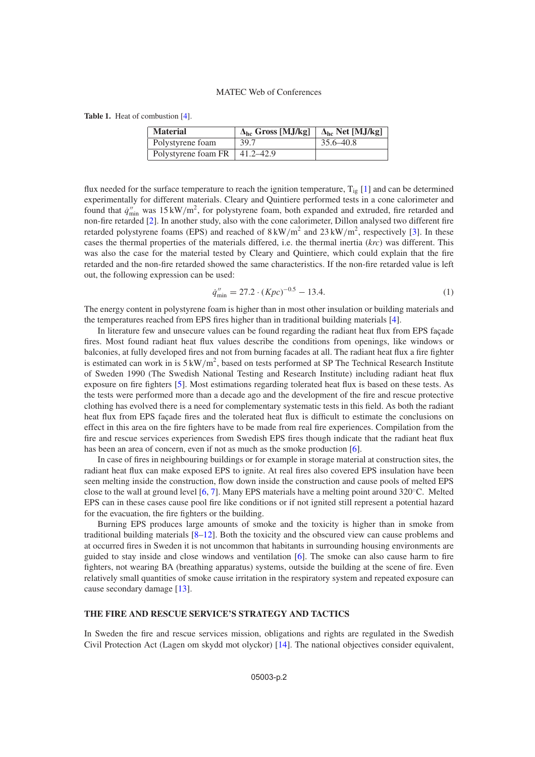**Table 1.** Heat of combustion [\[4](#page-7-0)].

| <b>Material</b>     | $\Delta_{hc}$ Gross [MJ/kg] | $\Delta_{hc}$ Net [MJ/kg] |
|---------------------|-----------------------------|---------------------------|
| Polystyrene foam    | 39.7                        | 35.6–40.8                 |
| Polystyrene foam FR | $ 41.2 - 42.9 $             |                           |

flux needed for the surface temperature to reach the ignition temperature,  $T_{i}$  [\[1](#page-7-1)] and can be determined experimentally for different materials. Cleary and Quintiere performed tests in a cone calorimeter and found that  $\dot{q}''_{\text{min}}$  was  $15 \text{ kW/m}^2$ , for polystyrene foam, both expanded and extruded, fire retarded and non-fire retarded [\[2\]](#page-7-2). In another study, also with the cone calorimeter, Dillon analysed two different fire retarded polystyrene foams (EPS) and reached of  $8 \text{ kW/m}^2$  and  $23 \text{ kW/m}^2$ , respectively [\[3](#page-7-3)]. In these cases the thermal properties of the materials differed, i.e. the thermal inertia (*krc*) was different. This was also the case for the material tested by Cleary and Quintiere, which could explain that the fire retarded and the non-fire retarded showed the same characteristics. If the non-fire retarded value is left out, the following expression can be used:

$$
\dot{q}_{\min}'' = 27.2 \cdot (Kpc)^{-0.5} - 13.4. \tag{1}
$$

The energy content in polystyrene foam is higher than in most other insulation or building materials and the temperatures reached from EPS fires higher than in traditional building materials [\[4\]](#page-7-0).

In literature few and unsecure values can be found regarding the radiant heat flux from EPS façade fires. Most found radiant heat flux values describe the conditions from openings, like windows or balconies, at fully developed fires and not from burning facades at all. The radiant heat flux a fire fighter is estimated can work in is  $5 \frac{\text{kW}}{\text{m}^2}$ , based on tests performed at SP The Technical Research Institute of Sweden 1990 (The Swedish National Testing and Research Institute) including radiant heat flux exposure on fire fighters [\[5](#page-7-4)]. Most estimations regarding tolerated heat flux is based on these tests. As the tests were performed more than a decade ago and the development of the fire and rescue protective clothing has evolved there is a need for complementary systematic tests in this field. As both the radiant heat flux from EPS façade fires and the tolerated heat flux is difficult to estimate the conclusions on effect in this area on the fire fighters have to be made from real fire experiences. Compilation from the fire and rescue services experiences from Swedish EPS fires though indicate that the radiant heat flux has been an area of concern, even if not as much as the smoke production [\[6\]](#page-7-5).

In case of fires in neighbouring buildings or for example in storage material at construction sites, the radiant heat flux can make exposed EPS to ignite. At real fires also covered EPS insulation have been seen melting inside the construction, flow down inside the construction and cause pools of melted EPS close to the wall at ground level [\[6,](#page-7-5) [7](#page-8-0)]. Many EPS materials have a melting point around  $320^{\circ}$ C. Melted EPS can in these cases cause pool fire like conditions or if not ignited still represent a potential hazard for the evacuation, the fire fighters or the building.

Burning EPS produces large amounts of smoke and the toxicity is higher than in smoke from traditional building materials [\[8](#page-8-1)[–12](#page-8-2)]. Both the toxicity and the obscured view can cause problems and at occurred fires in Sweden it is not uncommon that habitants in surrounding housing environments are guided to stay inside and close windows and ventilation [\[6\]](#page-7-5). The smoke can also cause harm to fire fighters, not wearing BA (breathing apparatus) systems, outside the building at the scene of fire. Even relatively small quantities of smoke cause irritation in the respiratory system and repeated exposure can cause secondary damage [\[13\]](#page-8-3).

### **THE FIRE AND RESCUE SERVICE'S STRATEGY AND TACTICS**

In Sweden the fire and rescue services mission, obligations and rights are regulated in the Swedish Civil Protection Act (Lagen om skydd mot olyckor) [\[14](#page-8-4)]. The national objectives consider equivalent,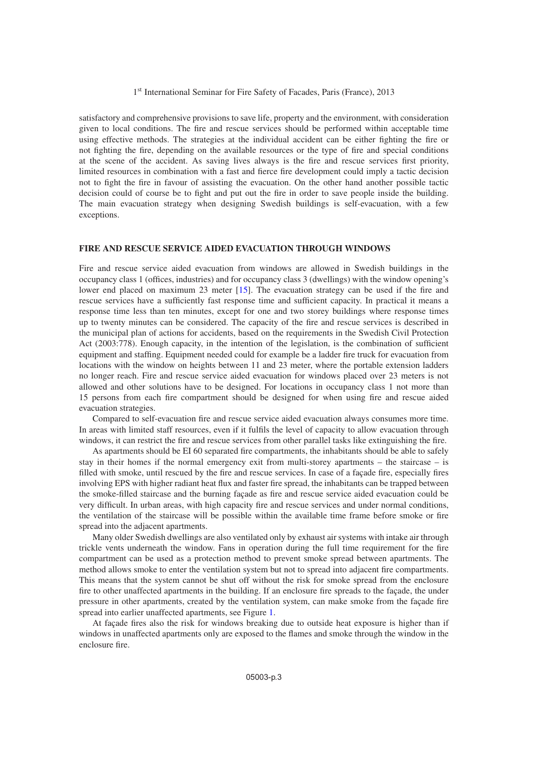satisfactory and comprehensive provisions to save life, property and the environment, with consideration given to local conditions. The fire and rescue services should be performed within acceptable time using effective methods. The strategies at the individual accident can be either fighting the fire or not fighting the fire, depending on the available resources or the type of fire and special conditions at the scene of the accident. As saving lives always is the fire and rescue services first priority, limited resources in combination with a fast and fierce fire development could imply a tactic decision not to fight the fire in favour of assisting the evacuation. On the other hand another possible tactic decision could of course be to fight and put out the fire in order to save people inside the building. The main evacuation strategy when designing Swedish buildings is self-evacuation, with a few exceptions.

### **FIRE AND RESCUE SERVICE AIDED EVACUATION THROUGH WINDOWS**

Fire and rescue service aided evacuation from windows are allowed in Swedish buildings in the occupancy class 1 (offices, industries) and for occupancy class 3 (dwellings) with the window opening's lower end placed on maximum 23 meter [\[15\]](#page-8-5). The evacuation strategy can be used if the fire and rescue services have a sufficiently fast response time and sufficient capacity. In practical it means a response time less than ten minutes, except for one and two storey buildings where response times up to twenty minutes can be considered. The capacity of the fire and rescue services is described in the municipal plan of actions for accidents, based on the requirements in the Swedish Civil Protection Act (2003:778). Enough capacity, in the intention of the legislation, is the combination of sufficient equipment and staffing. Equipment needed could for example be a ladder fire truck for evacuation from locations with the window on heights between 11 and 23 meter, where the portable extension ladders no longer reach. Fire and rescue service aided evacuation for windows placed over 23 meters is not allowed and other solutions have to be designed. For locations in occupancy class 1 not more than 15 persons from each fire compartment should be designed for when using fire and rescue aided evacuation strategies.

Compared to self-evacuation fire and rescue service aided evacuation always consumes more time. In areas with limited staff resources, even if it fulfils the level of capacity to allow evacuation through windows, it can restrict the fire and rescue services from other parallel tasks like extinguishing the fire.

As apartments should be EI 60 separated fire compartments, the inhabitants should be able to safely stay in their homes if the normal emergency exit from multi-storey apartments – the staircase – is filled with smoke, until rescued by the fire and rescue services. In case of a façade fire, especially fires involving EPS with higher radiant heat flux and faster fire spread, the inhabitants can be trapped between the smoke-filled staircase and the burning façade as fire and rescue service aided evacuation could be very difficult. In urban areas, with high capacity fire and rescue services and under normal conditions, the ventilation of the staircase will be possible within the available time frame before smoke or fire spread into the adjacent apartments.

Many older Swedish dwellings are also ventilated only by exhaust air systems with intake air through trickle vents underneath the window. Fans in operation during the full time requirement for the fire compartment can be used as a protection method to prevent smoke spread between apartments. The method allows smoke to enter the ventilation system but not to spread into adjacent fire compartments. This means that the system cannot be shut off without the risk for smoke spread from the enclosure fire to other unaffected apartments in the building. If an enclosure fire spreads to the façade, the under pressure in other apartments, created by the ventilation system, can make smoke from the façade fire spread into earlier unaffected apartments, see Figure [1.](#page-3-0)

At façade fires also the risk for windows breaking due to outside heat exposure is higher than if windows in unaffected apartments only are exposed to the flames and smoke through the window in the enclosure fire.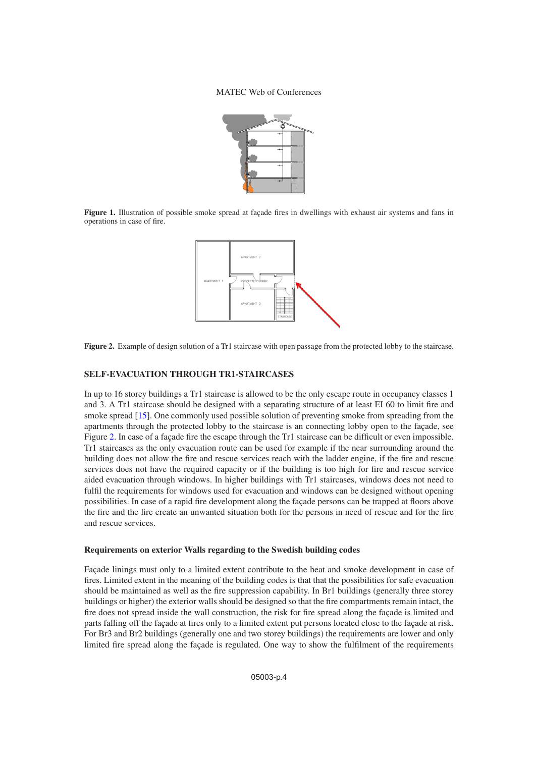

<span id="page-3-1"></span><span id="page-3-0"></span>**Figure 1.** Illustration of possible smoke spread at façade fires in dwellings with exhaust air systems and fans in operations in case of fire.



**Figure 2.** Example of design solution of a Tr1 staircase with open passage from the protected lobby to the staircase.

# **SELF-EVACUATION THROUGH TR1-STAIRCASES**

In up to 16 storey buildings a Tr1 staircase is allowed to be the only escape route in occupancy classes 1 and 3. A Tr1 staircase should be designed with a separating structure of at least EI 60 to limit fire and smoke spread [\[15](#page-8-5)]. One commonly used possible solution of preventing smoke from spreading from the apartments through the protected lobby to the staircase is an connecting lobby open to the façade, see Figure [2.](#page-3-1) In case of a façade fire the escape through the Tr1 staircase can be difficult or even impossible. Tr1 staircases as the only evacuation route can be used for example if the near surrounding around the building does not allow the fire and rescue services reach with the ladder engine, if the fire and rescue services does not have the required capacity or if the building is too high for fire and rescue service aided evacuation through windows. In higher buildings with Tr1 staircases, windows does not need to fulfil the requirements for windows used for evacuation and windows can be designed without opening possibilities. In case of a rapid fire development along the façade persons can be trapped at floors above the fire and the fire create an unwanted situation both for the persons in need of rescue and for the fire and rescue services.

#### **Requirements on exterior Walls regarding to the Swedish building codes**

Façade linings must only to a limited extent contribute to the heat and smoke development in case of fires. Limited extent in the meaning of the building codes is that that the possibilities for safe evacuation should be maintained as well as the fire suppression capability. In Br1 buildings (generally three storey buildings or higher) the exterior walls should be designed so that the fire compartments remain intact, the fire does not spread inside the wall construction, the risk for fire spread along the façade is limited and parts falling off the façade at fires only to a limited extent put persons located close to the façade at risk. For Br3 and Br2 buildings (generally one and two storey buildings) the requirements are lower and only limited fire spread along the façade is regulated. One way to show the fulfilment of the requirements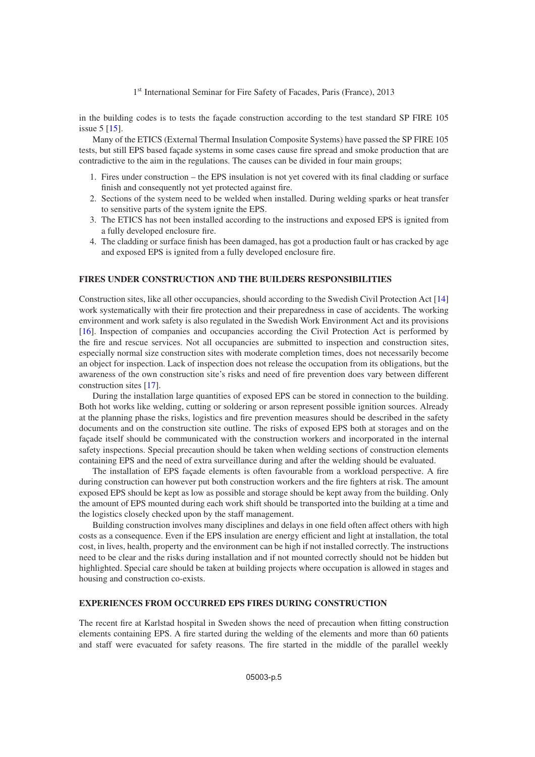in the building codes is to tests the façade construction according to the test standard SP FIRE 105 issue 5 [\[15](#page-8-5)].

Many of the ETICS (External Thermal Insulation Composite Systems) have passed the SP FIRE 105 tests, but still EPS based façade systems in some cases cause fire spread and smoke production that are contradictive to the aim in the regulations. The causes can be divided in four main groups;

- 1. Fires under construction the EPS insulation is not yet covered with its final cladding or surface finish and consequently not yet protected against fire.
- 2. Sections of the system need to be welded when installed. During welding sparks or heat transfer to sensitive parts of the system ignite the EPS.
- 3. The ETICS has not been installed according to the instructions and exposed EPS is ignited from a fully developed enclosure fire.
- 4. The cladding or surface finish has been damaged, has got a production fault or has cracked by age and exposed EPS is ignited from a fully developed enclosure fire.

#### **FIRES UNDER CONSTRUCTION AND THE BUILDERS RESPONSIBILITIES**

Construction sites, like all other occupancies, should according to the Swedish Civil Protection Act [\[14\]](#page-8-4) work systematically with their fire protection and their preparedness in case of accidents. The working environment and work safety is also regulated in the Swedish Work Environment Act and its provisions [\[16](#page-8-6)]. Inspection of companies and occupancies according the Civil Protection Act is performed by the fire and rescue services. Not all occupancies are submitted to inspection and construction sites, especially normal size construction sites with moderate completion times, does not necessarily become an object for inspection. Lack of inspection does not release the occupation from its obligations, but the awareness of the own construction site's risks and need of fire prevention does vary between different construction sites [\[17](#page-8-7)].

During the installation large quantities of exposed EPS can be stored in connection to the building. Both hot works like welding, cutting or soldering or arson represent possible ignition sources. Already at the planning phase the risks, logistics and fire prevention measures should be described in the safety documents and on the construction site outline. The risks of exposed EPS both at storages and on the façade itself should be communicated with the construction workers and incorporated in the internal safety inspections. Special precaution should be taken when welding sections of construction elements containing EPS and the need of extra surveillance during and after the welding should be evaluated.

The installation of EPS façade elements is often favourable from a workload perspective. A fire during construction can however put both construction workers and the fire fighters at risk. The amount exposed EPS should be kept as low as possible and storage should be kept away from the building. Only the amount of EPS mounted during each work shift should be transported into the building at a time and the logistics closely checked upon by the staff management.

Building construction involves many disciplines and delays in one field often affect others with high costs as a consequence. Even if the EPS insulation are energy efficient and light at installation, the total cost, in lives, health, property and the environment can be high if not installed correctly. The instructions need to be clear and the risks during installation and if not mounted correctly should not be hidden but highlighted. Special care should be taken at building projects where occupation is allowed in stages and housing and construction co-exists.

## **EXPERIENCES FROM OCCURRED EPS FIRES DURING CONSTRUCTION**

The recent fire at Karlstad hospital in Sweden shows the need of precaution when fitting construction elements containing EPS. A fire started during the welding of the elements and more than 60 patients and staff were evacuated for safety reasons. The fire started in the middle of the parallel weekly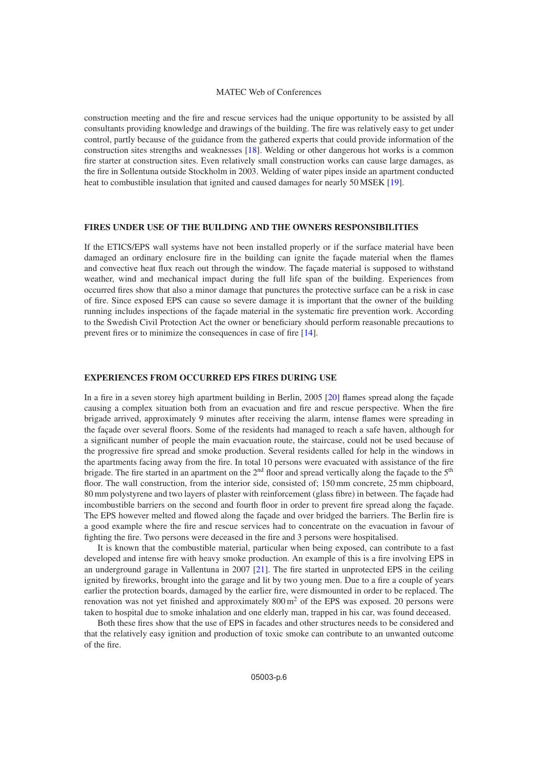construction meeting and the fire and rescue services had the unique opportunity to be assisted by all consultants providing knowledge and drawings of the building. The fire was relatively easy to get under control, partly because of the guidance from the gathered experts that could provide information of the construction sites strengths and weaknesses [\[18\]](#page-8-8). Welding or other dangerous hot works is a common fire starter at construction sites. Even relatively small construction works can cause large damages, as the fire in Sollentuna outside Stockholm in 2003. Welding of water pipes inside an apartment conducted heat to combustible insulation that ignited and caused damages for nearly 50 MSEK [\[19\]](#page-8-9).

#### **FIRES UNDER USE OF THE BUILDING AND THE OWNERS RESPONSIBILITIES**

If the ETICS/EPS wall systems have not been installed properly or if the surface material have been damaged an ordinary enclosure fire in the building can ignite the façade material when the flames and convective heat flux reach out through the window. The façade material is supposed to withstand weather, wind and mechanical impact during the full life span of the building. Experiences from occurred fires show that also a minor damage that punctures the protective surface can be a risk in case of fire. Since exposed EPS can cause so severe damage it is important that the owner of the building running includes inspections of the façade material in the systematic fire prevention work. According to the Swedish Civil Protection Act the owner or beneficiary should perform reasonable precautions to prevent fires or to minimize the consequences in case of fire [\[14](#page-8-4)].

## **EXPERIENCES FROM OCCURRED EPS FIRES DURING USE**

In a fire in a seven storey high apartment building in Berlin, 2005 [\[20\]](#page-8-10) flames spread along the façade causing a complex situation both from an evacuation and fire and rescue perspective. When the fire brigade arrived, approximately 9 minutes after receiving the alarm, intense flames were spreading in the façade over several floors. Some of the residents had managed to reach a safe haven, although for a significant number of people the main evacuation route, the staircase, could not be used because of the progressive fire spread and smoke production. Several residents called for help in the windows in the apartments facing away from the fire. In total 10 persons were evacuated with assistance of the fire brigade. The fire started in an apartment on the  $2<sup>nd</sup>$  floor and spread vertically along the façade to the  $5<sup>th</sup>$ floor. The wall construction, from the interior side, consisted of; 150 mm concrete, 25 mm chipboard, 80 mm polystyrene and two layers of plaster with reinforcement (glass fibre) in between. The façade had incombustible barriers on the second and fourth floor in order to prevent fire spread along the façade. The EPS however melted and flowed along the façade and over bridged the barriers. The Berlin fire is a good example where the fire and rescue services had to concentrate on the evacuation in favour of fighting the fire. Two persons were deceased in the fire and 3 persons were hospitalised.

It is known that the combustible material, particular when being exposed, can contribute to a fast developed and intense fire with heavy smoke production. An example of this is a fire involving EPS in an underground garage in Vallentuna in 2007 [\[21\]](#page-8-11). The fire started in unprotected EPS in the ceiling ignited by fireworks, brought into the garage and lit by two young men. Due to a fire a couple of years earlier the protection boards, damaged by the earlier fire, were dismounted in order to be replaced. The renovation was not yet finished and approximately  $800 \text{ m}^2$  of the EPS was exposed. 20 persons were taken to hospital due to smoke inhalation and one elderly man, trapped in his car, was found deceased.

Both these fires show that the use of EPS in facades and other structures needs to be considered and that the relatively easy ignition and production of toxic smoke can contribute to an unwanted outcome of the fire.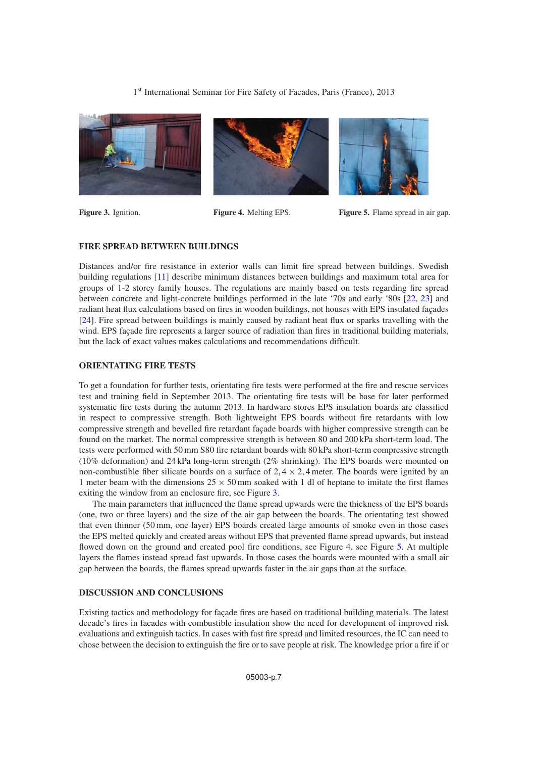<span id="page-6-0"></span>





**Figure 3.** Ignition. **Figure 4.** Melting EPS. **Figure 5.** Flame spread in air gap.

#### <span id="page-6-1"></span>**FIRE SPREAD BETWEEN BUILDINGS**

Distances and/or fire resistance in exterior walls can limit fire spread between buildings. Swedish building regulations [\[11\]](#page-8-12) describe minimum distances between buildings and maximum total area for groups of 1-2 storey family houses. The regulations are mainly based on tests regarding fire spread between concrete and light-concrete buildings performed in the late '70s and early '80s [\[22](#page-8-13), [23\]](#page-8-14) and radiant heat flux calculations based on fires in wooden buildings, not houses with EPS insulated façades [\[24](#page-8-15)]. Fire spread between buildings is mainly caused by radiant heat flux or sparks travelling with the wind. EPS façade fire represents a larger source of radiation than fires in traditional building materials, but the lack of exact values makes calculations and recommendations difficult.

#### **ORIENTATING FIRE TESTS**

To get a foundation for further tests, orientating fire tests were performed at the fire and rescue services test and training field in September 2013. The orientating fire tests will be base for later performed systematic fire tests during the autumn 2013. In hardware stores EPS insulation boards are classified in respect to compressive strength. Both lightweight EPS boards without fire retardants with low compressive strength and bevelled fire retardant façade boards with higher compressive strength can be found on the market. The normal compressive strength is between 80 and 200 kPa short-term load. The tests were performed with 50 mm S80 fire retardant boards with 80 kPa short-term compressive strength (10% deformation) and 24 kPa long-term strength (2% shrinking). The EPS boards were mounted on non-combustible fiber silicate boards on a surface of  $2, 4 \times 2, 4$  meter. The boards were ignited by an 1 meter beam with the dimensions  $25 \times 50$  mm soaked with 1 dl of heptane to imitate the first flames exiting the window from an enclosure fire, see Figure [3.](#page-6-0)

The main parameters that influenced the flame spread upwards were the thickness of the EPS boards (one, two or three layers) and the size of the air gap between the boards. The orientating test showed that even thinner (50 mm, one layer) EPS boards created large amounts of smoke even in those cases the EPS melted quickly and created areas without EPS that prevented flame spread upwards, but instead flowed down on the ground and created pool fire conditions, see Figure 4, see Figure [5.](#page-6-1) At multiple layers the flames instead spread fast upwards. In those cases the boards were mounted with a small air gap between the boards, the flames spread upwards faster in the air gaps than at the surface.

## **DISCUSSION AND CONCLUSIONS**

Existing tactics and methodology for façade fires are based on traditional building materials. The latest decade's fires in facades with combustible insulation show the need for development of improved risk evaluations and extinguish tactics. In cases with fast fire spread and limited resources, the IC can need to chose between the decision to extinguish the fire or to save people at risk. The knowledge prior a fire if or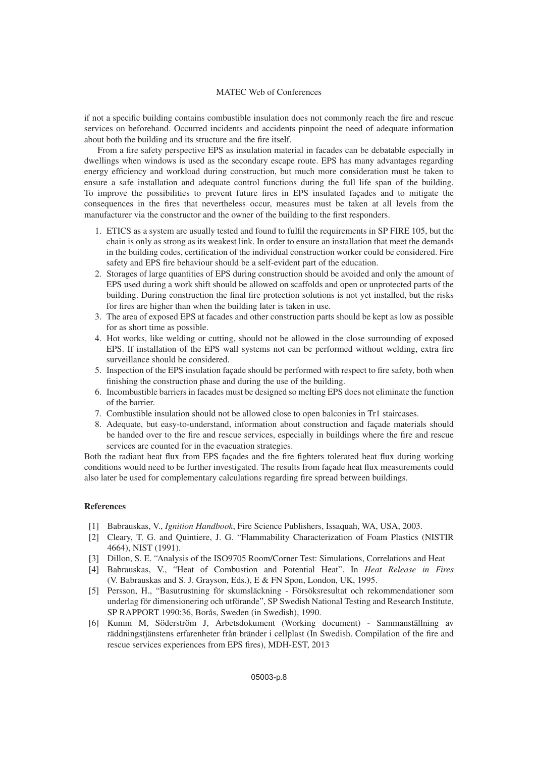if not a specific building contains combustible insulation does not commonly reach the fire and rescue services on beforehand. Occurred incidents and accidents pinpoint the need of adequate information about both the building and its structure and the fire itself.

From a fire safety perspective EPS as insulation material in facades can be debatable especially in dwellings when windows is used as the secondary escape route. EPS has many advantages regarding energy efficiency and workload during construction, but much more consideration must be taken to ensure a safe installation and adequate control functions during the full life span of the building. To improve the possibilities to prevent future fires in EPS insulated façades and to mitigate the consequences in the fires that nevertheless occur, measures must be taken at all levels from the manufacturer via the constructor and the owner of the building to the first responders.

- 1. ETICS as a system are usually tested and found to fulfil the requirements in SP FIRE 105, but the chain is only as strong as its weakest link. In order to ensure an installation that meet the demands in the building codes, certification of the individual construction worker could be considered. Fire safety and EPS fire behaviour should be a self-evident part of the education.
- 2. Storages of large quantities of EPS during construction should be avoided and only the amount of EPS used during a work shift should be allowed on scaffolds and open or unprotected parts of the building. During construction the final fire protection solutions is not yet installed, but the risks for fires are higher than when the building later is taken in use.
- 3. The area of exposed EPS at facades and other construction parts should be kept as low as possible for as short time as possible.
- 4. Hot works, like welding or cutting, should not be allowed in the close surrounding of exposed EPS. If installation of the EPS wall systems not can be performed without welding, extra fire surveillance should be considered.
- 5. Inspection of the EPS insulation façade should be performed with respect to fire safety, both when finishing the construction phase and during the use of the building.
- 6. Incombustible barriers in facades must be designed so melting EPS does not eliminate the function of the barrier.
- 7. Combustible insulation should not be allowed close to open balconies in Tr1 staircases.
- 8. Adequate, but easy-to-understand, information about construction and façade materials should be handed over to the fire and rescue services, especially in buildings where the fire and rescue services are counted for in the evacuation strategies.

Both the radiant heat flux from EPS façades and the fire fighters tolerated heat flux during working conditions would need to be further investigated. The results from façade heat flux measurements could also later be used for complementary calculations regarding fire spread between buildings.

#### <span id="page-7-1"></span>**References**

- [1] Babrauskas, V., *Ignition Handbook*, Fire Science Publishers, Issaquah, WA, USA, 2003.
- <span id="page-7-2"></span>[2] Cleary, T. G. and Quintiere, J. G. "Flammability Characterization of Foam Plastics (NISTIR 4664), NIST (1991).
- <span id="page-7-3"></span>[3] Dillon, S. E. "Analysis of the ISO9705 Room/Corner Test: Simulations, Correlations and Heat
- <span id="page-7-0"></span>[4] Babrauskas, V., "Heat of Combustion and Potential Heat". In *Heat Release in Fires* (V. Babrauskas and S. J. Grayson, Eds.), E & FN Spon, London, UK, 1995.
- <span id="page-7-4"></span>[5] Persson, H., "Basutrustning för skumsläckning - Försöksresultat och rekommendationer som underlag för dimensionering och utförande", SP Swedish National Testing and Research Institute, SP RAPPORT 1990:36, Borås, Sweden (in Swedish), 1990.
- <span id="page-7-5"></span>[6] Kumm M, Söderström J, Arbetsdokument (Working document) - Sammanställning av räddningstjänstens erfarenheter från bränder i cellplast (In Swedish. Compilation of the fire and rescue services experiences from EPS fires), MDH-EST, 2013